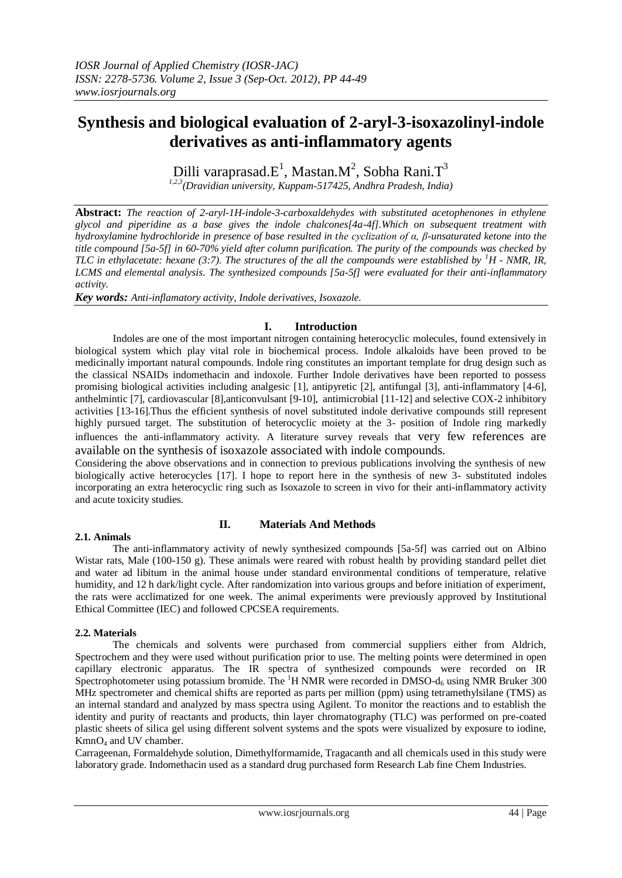# **Synthesis and biological evaluation of 2-aryl-3-isoxazolinyl-indole derivatives as anti-inflammatory agents**

Dilli varaprasad. $E^1$ , Mastan. $M^2$ , Sobha Rani. $T^3$ 

*1,2,3(Dravidian university, Kuppam-517425, Andhra Pradesh, India)*

**Abstract:** *The reaction of 2-aryl-1H-indole-3-carboxaldehydes with substituted acetophenones in ethylene glycol and piperidine as a base gives the indole chalcones[4a-4f].Which on subsequent treatment with hydroxylamine hydrochloride in presence of base resulted in the cyclization of α, β-unsaturated ketone into the title compound [5a-5f] in 60-70% yield after column purification. The purity of the compounds was checked by TLC in ethylacetate: hexane (3:7). The structures of the all the compounds were established by*  ${}^{1}H$  *- NMR, IR, LCMS and elemental analysis. The synthesized compounds [5a-5f] were evaluated for their anti-inflammatory activity.*

*Key words: Anti-inflamatory activity, Indole derivatives, Isoxazole.*

# **I. Introduction**

Indoles are one of the most important nitrogen containing heterocyclic molecules, found extensively in biological system which play vital role in biochemical process. Indole alkaloids have been proved to be medicinally important natural compounds. Indole ring constitutes an important template for drug design such as the classical NSAIDs indomethacin and indoxole. Further Indole derivatives have been reported to possess promising biological activities including analgesic [1], antipyretic [2], antifungal [3], anti-inflammatory [4-6], anthelmintic [7], cardiovascular [8],anticonvulsant [9-10], antimicrobial [11-12] and selective COX-2 inhibitory activities [13-16].Thus the efficient synthesis of novel substituted indole derivative compounds still represent highly pursued target. The substitution of heterocyclic moiety at the 3- position of Indole ring markedly influences the anti-inflammatory activity. A literature survey reveals that very few references are available on the synthesis of isoxazole associated with indole compounds.

Considering the above observations and in connection to previous publications involving the synthesis of new biologically active heterocycles [17]. I hope to report here in the synthesis of new 3- substituted indoles incorporating an extra heterocyclic ring such as Isoxazole to screen in vivo for their anti-inflammatory activity and acute toxicity studies.

# **2.1. Animals**

# **II. Materials And Methods**

The anti-inflammatory activity of newly synthesized compounds [5a-5f] was carried out on Albino Wistar rats, Male (100-150 g). These animals were reared with robust health by providing standard pellet diet and water ad libitum in the animal house under standard environmental conditions of temperature, relative humidity, and 12 h dark/light cycle. After randomization into various groups and before initiation of experiment, the rats were acclimatized for one week. The animal experiments were previously approved by Institutional Ethical Committee (IEC) and followed CPCSEA requirements.

# **2.2. Materials**

The chemicals and solvents were purchased from commercial suppliers either from Aldrich, Spectrochem and they were used without purification prior to use. The melting points were determined in open capillary electronic apparatus. The IR spectra of synthesized compounds were recorded on IR Spectrophotometer using potassium bromide. The  ${}^{1}H$  NMR were recorded in DMSO- $d_6$  using NMR Bruker 300 MHz spectrometer and chemical shifts are reported as parts per million (ppm) using tetramethylsilane (TMS) as an internal standard and analyzed by mass spectra using Agilent. To monitor the reactions and to establish the identity and purity of reactants and products, thin layer chromatography (TLC) was performed on pre-coated plastic sheets of silica gel using different solvent systems and the spots were visualized by exposure to iodine, KmnO<sup>4</sup> and UV chamber.

Carrageenan, Formaldehyde solution, Dimethylformamide, Tragacanth and all chemicals used in this study were laboratory grade. Indomethacin used as a standard drug purchased form Research Lab fine Chem Industries.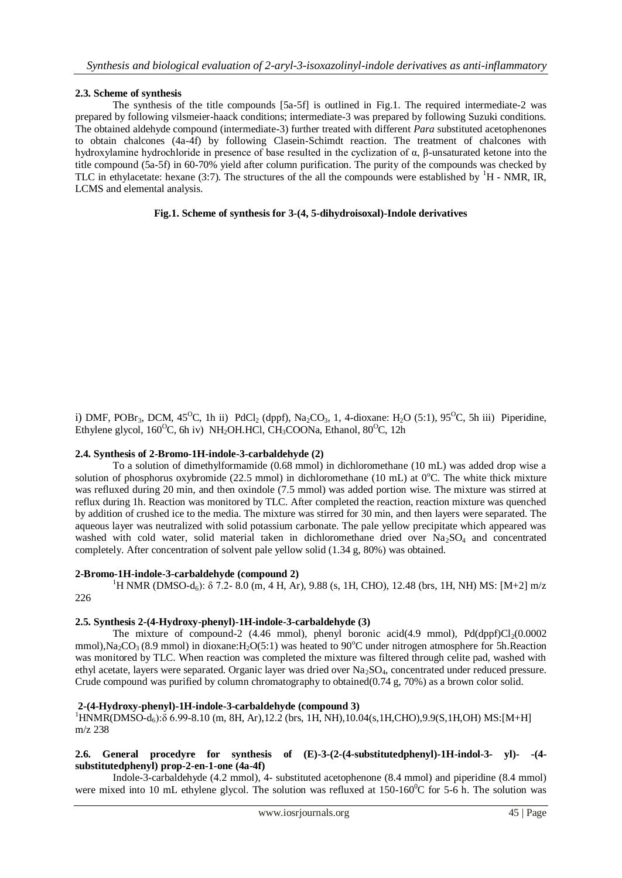## **2.3. Scheme of synthesis**

The synthesis of the title compounds [5a-5f] is outlined in Fig.1. The required intermediate-2 was prepared by following vilsmeier-haack conditions; intermediate-3 was prepared by following Suzuki conditions. The obtained aldehyde compound (intermediate-3) further treated with different *Para* substituted acetophenones to obtain chalcones (4a-4f) by following Clasein-Schimdt reaction. The treatment of chalcones with hydroxylamine hydrochloride in presence of base resulted in the cyclization of α, β-unsaturated ketone into the title compound (5a-5f) in 60-70% yield after column purification. The purity of the compounds was checked by TLC in ethylacetate: hexane  $(3:7)$ . The structures of the all the compounds were established by  $H - NMR$ , IR, LCMS and elemental analysis.

#### **Fig.1. Scheme of synthesis for 3-(4, 5-dihydroisoxal)-Indole derivatives**

i) DMF, POBr<sub>3</sub>, DCM,  $45^{\circ}$ C, 1h ii) PdCl<sub>2</sub> (dppf), Na<sub>2</sub>CO<sub>3</sub>, 1, 4-dioxane: H<sub>2</sub>O (5:1), 95<sup>o</sup>C, 5h iii) Piperidine, Ethylene glycol,  $160^{\circ}$ C, 6h iv) NH<sub>2</sub>OH.HCl, CH<sub>3</sub>COONa, Ethanol,  $80^{\circ}$ C, 12h

#### **2.4. Synthesis of 2-Bromo-1H-indole-3-carbaldehyde (2)**

To a solution of dimethylformamide (0.68 mmol) in dichloromethane (10 mL) was added drop wise a solution of phosphorus oxybromide (22.5 mmol) in dichloromethane (10 mL) at  $0^{\circ}$ C. The white thick mixture was refluxed during 20 min, and then oxindole (7.5 mmol) was added portion wise. The mixture was stirred at reflux during 1h. Reaction was monitored by TLC. After completed the reaction, reaction mixture was quenched by addition of crushed ice to the media. The mixture was stirred for 30 min, and then layers were separated. The aqueous layer was neutralized with solid potassium carbonate. The pale yellow precipitate which appeared was washed with cold water, solid material taken in dichloromethane dried over  $Na<sub>2</sub>SO<sub>4</sub>$  and concentrated completely. After concentration of solvent pale yellow solid (1.34 g, 80%) was obtained.

#### **2-Bromo-1H-indole-3-carbaldehyde (compound 2)**

<sup>1</sup>H NMR (DMSO-d<sub>6</sub>): δ 7.2- 8.0 (m, 4 H, Ar), 9.88 (s, 1H, CHO), 12.48 (brs, 1H, NH) MS: [M+2] m/z 226

#### **2.5. Synthesis 2-(4-Hydroxy-phenyl)-1H-indole-3-carbaldehyde (3)**

The mixture of compound-2 (4.46 mmol), phenyl boronic acid(4.9 mmol),  $Pd(dppf)Cl<sub>2</sub>(0.0002)$ mmol), Na<sub>2</sub>CO<sub>3</sub> (8.9 mmol) in dioxane: H<sub>2</sub>O(5:1) was heated to 90<sup>o</sup>C under nitrogen atmosphere for 5h. Reaction was monitored by TLC. When reaction was completed the mixture was filtered through celite pad, washed with ethyl acetate, layers were separated. Organic layer was dried over Na<sub>2</sub>SO<sub>4</sub>, concentrated under reduced pressure. Crude compound was purified by column chromatography to obtained(0.74 g, 70%) as a brown color solid.

#### **2-(4-Hydroxy-phenyl)-1H-indole-3-carbaldehyde (compound 3)**

 $1+\text{NMR}(\text{DMSO-d}_6)$ :δ 6.99-8.10 (m, 8H, Ar),12.2 (brs, 1H, NH),10.04(s,1H,CHO),9.9(S,1H,OH) MS:[M+H] m/z 238

#### **2.6. General procedyre for synthesis of (E)-3-(2-(4-substitutedphenyl)-1H-indol-3- yl)- -(4 substitutedphenyl) prop-2-en-1-one (4a-4f)**

Indole-3-carbaldehyde (4.2 mmol), 4- substituted acetophenone (8.4 mmol) and piperidine (8.4 mmol) were mixed into 10 mL ethylene glycol. The solution was refluxed at  $150{\text{-}160}^{\circ}$ C for 5-6 h. The solution was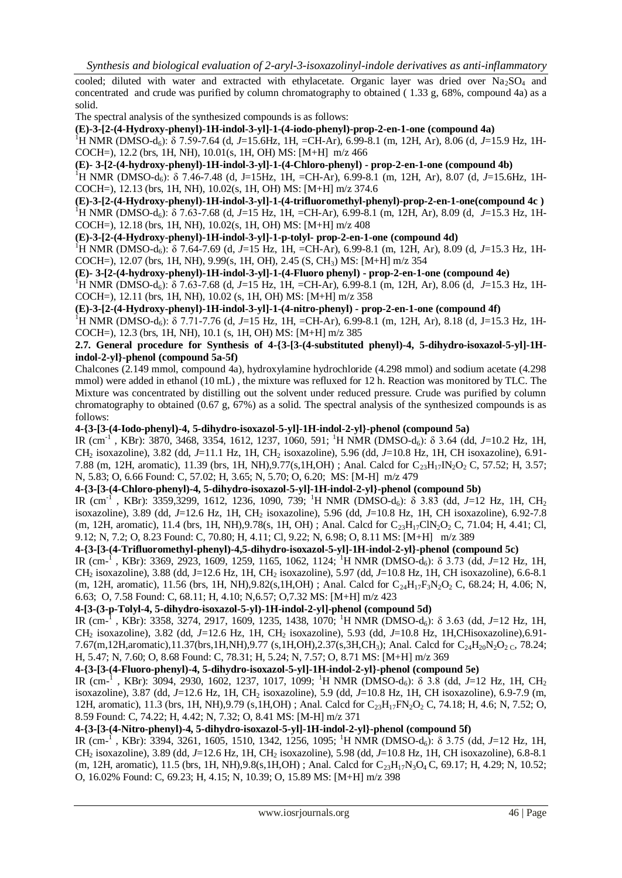cooled; diluted with water and extracted with ethylacetate. Organic layer was dried over  $Na<sub>2</sub>SO<sub>4</sub>$  and concentrated and crude was purified by column chromatography to obtained ( 1.33 g, 68%, compound 4a) as a solid.

The spectral analysis of the synthesized compounds is as follows:

**(E)-3-[2-(4-Hydroxy-phenyl)-1H-indol-3-yl]-1-(4-iodo-phenyl)-prop-2-en-1-one (compound 4a)**

<sup>1</sup>H NMR (DMSO-d6): δ 7.59-7.64 (d, *J*=15.6Hz, 1H, =CH-Ar), 6.99-8.1 (m, 12H, Ar), 8.06 (d, *J*=15.9 Hz, 1H-COCH=), 12.2 (brs, 1H, NH), 10.01(s, 1H, OH) MS: [M+H] m/z 466

**(E)- 3-[2-(4-hydroxy-phenyl)-1H-indol-3-yl]-1-(4-Chloro-phenyl) - prop-2-en-1-one (compound 4b)**

<sup>1</sup>H NMR (DMSO-d<sub>6</sub>): δ 7.46-7.48 (d, J=15Hz, 1H, =CH-Ar), 6.99-8.1 (m, 12H, Ar), 8.07 (d, *J*=15.6Hz, 1H-COCH=), 12.13 (brs, 1H, NH), 10.02(s, 1H, OH) MS: [M+H] m/z 374.6

**(E)-3-[2-(4-Hydroxy-phenyl)-1H-indol-3-yl]-1-(4-trifluoromethyl-phenyl)-prop-2-en-1-one(compound 4c )** <sup>1</sup>H NMR (DMSO-d6): δ 7.63-7.68 (d, *J*=15 Hz, 1H, =CH-Ar), 6.99-8.1 (m, 12H, Ar), 8.09 (d, *J*=15.3 Hz, 1H-COCH=), 12.18 (brs, 1H, NH), 10.02(s, 1H, OH) MS: [M+H] m/z 408

**(E)-3-[2-(4-Hydroxy-phenyl)-1H-indol-3-yl]-1-p-tolyl- prop-2-en-1-one (compound 4d)**

<sup>1</sup>H NMR (DMSO-d6): δ 7.64-7.69 (d, *J*=15 Hz, 1H, =CH-Ar), 6.99-8.1 (m, 12H, Ar), 8.09 (d, *J*=15.3 Hz, 1H-COCH=), 12.07 (brs, 1H, NH), 9.99(s, 1H, OH), 2.45 (S, CH3) MS: [M+H] m/z 354

**(E)- 3-[2-(4-hydroxy-phenyl)-1H-indol-3-yl]-1-(4-Fluoro phenyl) - prop-2-en-1-one (compound 4e)**

<sup>1</sup>H NMR (DMSO-d6): δ 7.63-7.68 (d, *J*=15 Hz, 1H, =CH-Ar), 6.99-8.1 (m, 12H, Ar), 8.06 (d, *J*=15.3 Hz, 1H-COCH=), 12.11 (brs, 1H, NH), 10.02 (s, 1H, OH) MS: [M+H] m/z 358

**(E)-3-[2-(4-Hydroxy-phenyl)-1H-indol-3-yl]-1-(4-nitro-phenyl) - prop-2-en-1-one (compound 4f)**

<sup>1</sup>H NMR (DMSO-d<sub>6</sub>): δ 7.71-7.76 (d, *J*=15 Hz, 1H, =CH-Ar), 6.99-8.1 (m, 12H, Ar), 8.18 (d, J=15.3 Hz, 1H-COCH=), 12.3 (brs, 1H, NH), 10.1 (s, 1H, OH) MS: [M+H] m/z 385

#### **2.7. General procedure for Synthesis of 4-{3-[3-(4-substituted phenyl)-4, 5-dihydro-isoxazol-5-yl]-1Hindol-2-yl}-phenol (compound 5a-5f)**

Chalcones (2.149 mmol, compound 4a), hydroxylamine hydrochloride (4.298 mmol) and sodium acetate (4.298 mmol) were added in ethanol (10 mL) , the mixture was refluxed for 12 h. Reaction was monitored by TLC. The Mixture was concentrated by distilling out the solvent under reduced pressure. Crude was purified by column chromatography to obtained (0.67 g, 67%) as a solid. The spectral analysis of the synthesized compounds is as follows:

# **4-{3-[3-(4-Iodo-phenyl)-4, 5-dihydro-isoxazol-5-yl]-1H-indol-2-yl}-phenol (compound 5a)**

IR (cm<sup>-1</sup>, KBr): 3870, 3468, 3354, 1612, 1237, 1060, 591; <sup>1</sup>H NMR (DMSO-d<sub>6</sub>): δ 3.64 (dd, *J*=10.2 Hz, 1H, CH<sup>2</sup> isoxazoline), 3.82 (dd, *J*=11.1 Hz, 1H, CH<sup>2</sup> isoxazoline), 5.96 (dd, *J*=10.8 Hz, 1H, CH isoxazoline), 6.91- 7.88 (m, 12H, aromatic), 11.39 (brs, 1H, NH), 9.77(s, 1H, OH) ; Anal. Calcd for  $C_{23}H_{17}IN_{2}O_{2}$  C, 57.52; H, 3.57; N, 5.83; O, 6.66 Found: C, 57.02; H, 3.65; N, 5.70; O, 6.20; MS: [M-H] m/z 479

#### **4-{3-[3-(4-Chloro-phenyl)-4, 5-dihydro-isoxazol-5-yl]-1H-indol-2-yl}-phenol (compound 5b)**

IR (cm<sup>-1</sup>, KBr): 3359,3299, 1612, 1236, 1090, 739; <sup>1</sup>H NMR (DMSO-d<sub>6</sub>): δ 3.83 (dd, J=12 Hz, 1H, CH<sub>2</sub> isoxazoline), 3.89 (dd, *J*=12.6 Hz, 1H, CH<sup>2</sup> isoxazoline), 5.96 (dd, *J*=10.8 Hz, 1H, CH isoxazoline), 6.92-7.8 (m, 12H, aromatic), 11.4 (brs, 1H, NH),9.78(s, 1H, OH) ; Anal. Calcd for  $C_{23}H_{17}CIN_2O_2$  C, 71.04; H, 4.41; Cl, 9.12; N, 7.2; O, 8.23 Found: C, 70.80; H, 4.11; Cl, 9.22; N, 6.98; O, 8.11 MS: [M+H] m/z 389

## **4-{3-[3-(4-Trifluoromethyl-phenyl)-4,5-dihydro-isoxazol-5-yl]-1H-indol-2-yl}-phenol (compound 5c)**

IR (cm-<sup>1</sup>, KBr): 3369, 2923, 1609, 1259, 1165, 1062, 1124; <sup>1</sup>H NMR (DMSO-d<sub>6</sub>): δ 3.73 (dd, J=12 Hz, 1H, CH<sup>2</sup> isoxazoline), 3.88 (dd, J=12.6 Hz, 1H, CH<sup>2</sup> isoxazoline), 5.97 (dd, *J*=10.8 Hz, 1H, CH isoxazoline), 6.6-8.1 (m, 12H, aromatic), 11.56 (brs, 1H, NH),9.82(s,1H,OH) ; Anal. Calcd for  $C_{24}H_{17}F_3N_2O_2$  C, 68.24; H, 4.06; N, 6.63; O, 7.58 Found: C, 68.11; H, 4.10; N,6.57; O,7.32 MS: [M+H] m/z 423

**4-[3-(3-p-Tolyl-4, 5-dihydro-isoxazol-5-yl)-1H-indol-2-yl]-phenol (compound 5d)**

IR (cm<sup>-1</sup>, KBr): 3358, 3274, 2917, 1609, 1235, 1438, 1070; <sup>1</sup>H NMR (DMSO-d<sub>6</sub>): δ 3.63 (dd, *J*=12 Hz, 1H, CH<sup>2</sup> isoxazoline), 3.82 (dd, *J*=12.6 Hz, 1H, CH<sup>2</sup> isoxazoline), 5.93 (dd, *J*=10.8 Hz, 1H,CHisoxazoline),6.91- 7.67(m,12H,aromatic),11.37(brs,1H,NH),9.77 (s,1H,OH),2.37(s,3H,CH<sub>3</sub>); Anal. Calcd for C<sub>24</sub>H<sub>20</sub>N<sub>2</sub>O<sub>2 C</sub>, 78.24; H, 5.47; N, 7.60; O, 8.68 Found: C, 78.31; H, 5.24; N, 7.57; O, 8.71 MS: [M+H] m/z 369

## **4-{3-[3-(4-Fluoro-phenyl)-4, 5-dihydro-isoxazol-5-yl]-1H-indol-2-yl}-phenol (compound 5e)**

IR (cm<sup>-1</sup>, KBr): 3094, 2930, 1602, 1237, 1017, 1099; <sup>1</sup>H NMR (DMSO-d<sub>6</sub>): δ 3.8 (dd, *J*=12 Hz, 1H, CH<sub>2</sub> isoxazoline), 3.87 (dd, *J*=12.6 Hz, 1H, CH<sup>2</sup> isoxazoline), 5.9 (dd, *J*=10.8 Hz, 1H, CH isoxazoline), 6.9-7.9 (m, 12H, aromatic), 11.3 (brs, 1H, NH),9.79 (s,1H,OH); Anal. Calcd for C<sub>23</sub>H<sub>17</sub>FN<sub>2</sub>O<sub>2</sub> C, 74.18; H, 4.6; N, 7.52; O, 8.59 Found: C, 74.22; H, 4.42; N, 7.32; O, 8.41 MS: [M-H] m/z 371

# **4-{3-[3-(4-Nitro-phenyl)-4, 5-dihydro-isoxazol-5-yl]-1H-indol-2-yl}-phenol (compound 5f)**

IR (cm<sup>-1</sup>, KBr): 3394, 3261, 1605, 1510, 1342, 1256, 1095; <sup>1</sup>H NMR (DMSO-d<sub>6</sub>): δ 3.75 (dd, *J*=12 Hz, 1H, CH<sup>2</sup> isoxazoline), 3.89 (dd, *J*=12.6 Hz, 1H, CH<sup>2</sup> isoxazoline), 5.98 (dd, *J*=10.8 Hz, 1H, CH isoxazoline), 6.8-8.1 (m, 12H, aromatic), 11.5 (brs, 1H, NH),  $9.8(s, 1H, OH)$ ; Anal. Calcd for  $C_{23}H_{17}N_3O_4$  C, 69.17; H, 4.29; N, 10.52; O, 16.02% Found: C, 69.23; H, 4.15; N, 10.39; O, 15.89 MS: [M+H] m/z 398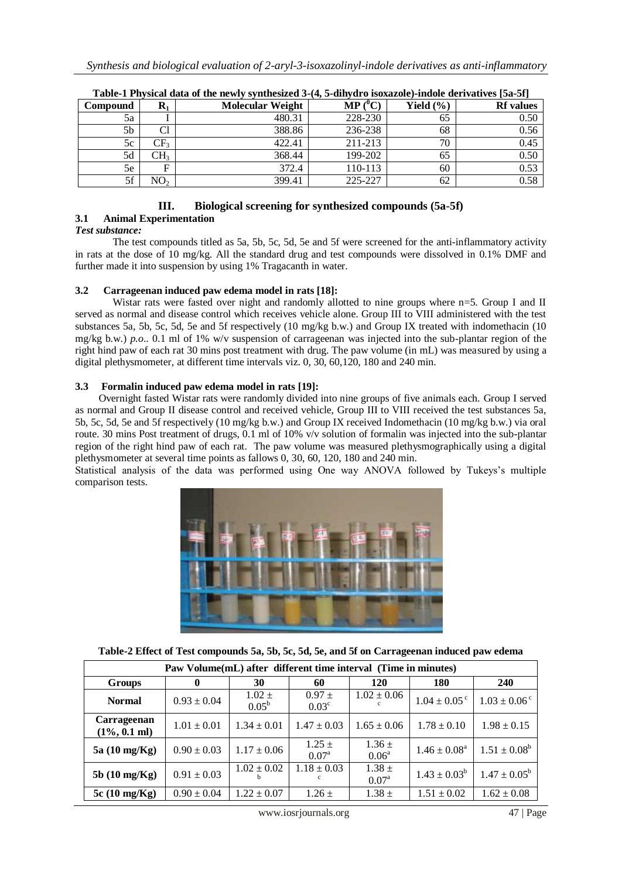| Compound | $\mathbf{R}_1$  | <b>Molecular Weight</b> | $\bf{MP}$ ( $\rm ^0C$ ) | Yield $(\% )$ | <b>Rf</b> values |
|----------|-----------------|-------------------------|-------------------------|---------------|------------------|
| 5a       |                 | 480.31                  | 228-230                 | 65            | 0.50             |
| 5b       | Cl              | 388.86                  | 236-238                 | 68            | 0.56             |
| 5c       | CF <sub>3</sub> | 422.41                  | 211-213                 | 70            | 0.45             |
| 5d       | CH <sub>3</sub> | 368.44                  | 199-202                 | 65            | 0.50             |
| 5e       | F               | 372.4                   | 110-113                 | 60            | 0.53             |
| 5f       | NO <sub>2</sub> | 399.41                  | 225-227                 | 62            | 0.58             |

| Table-1 Physical data of the newly synthesized 3-(4, 5-dihydro isoxazole)-indole derivatives [5a-5f] |  |
|------------------------------------------------------------------------------------------------------|--|
|------------------------------------------------------------------------------------------------------|--|

# **III. Biological screening for synthesized compounds (5a-5f)**

# **3.1 Animal Experimentation**

*Test substance:* 

The test compounds titled as 5a, 5b, 5c, 5d, 5e and 5f were screened for the anti-inflammatory activity in rats at the dose of 10 mg/kg. All the standard drug and test compounds were dissolved in 0.1% DMF and further made it into suspension by using 1% Tragacanth in water.

# **3.2 Carrageenan induced paw edema model in rats [18]:**

Wistar rats were fasted over night and randomly allotted to nine groups where n=5. Group I and II served as normal and disease control which receives vehicle alone. Group III to VIII administered with the test substances 5a, 5b, 5c, 5d, 5e and 5f respectively (10 mg/kg b.w.) and Group IX treated with indomethacin (10 mg/kg b.w.) *p.o*.. 0.1 ml of 1% w/v suspension of carrageenan was injected into the sub-plantar region of the right hind paw of each rat 30 mins post treatment with drug. The paw volume (in mL) was measured by using a digital plethysmometer, at different time intervals viz. 0, 30, 60,120, 180 and 240 min.

#### **3.3 Formalin induced paw edema model in rats [19]:**

 Overnight fasted Wistar rats were randomly divided into nine groups of five animals each. Group I served as normal and Group II disease control and received vehicle, Group III to VIII received the test substances 5a, 5b, 5c, 5d, 5e and 5f respectively (10 mg/kg b.w.) and Group IX received Indomethacin (10 mg/kg b.w.) via oral route. 30 mins Post treatment of drugs, 0.1 ml of 10% v/v solution of formalin was injected into the sub-plantar region of the right hind paw of each rat. The paw volume was measured plethysmographically using a digital plethysmometer at several time points as fallows 0, 30, 60, 120, 180 and 240 min.

Statistical analysis of the data was performed using One way ANOVA followed by Tukeys's multiple comparison tests.



**Table-2 Effect of Test compounds 5a, 5b, 5c, 5d, 5e, and 5f on Carrageenan induced paw edema**

| Paw Volume (mL) after different time interval (Time in minutes) |                 |                              |                              |                              |                              |                         |  |
|-----------------------------------------------------------------|-----------------|------------------------------|------------------------------|------------------------------|------------------------------|-------------------------|--|
| <b>Groups</b>                                                   | 0               | 30                           | 60                           | 120                          | 180                          | <b>240</b>              |  |
| <b>Normal</b>                                                   | $0.93 \pm 0.04$ | $1.02 \pm$<br>$0.05^{\rm b}$ | $0.97 \pm$<br>$0.03^{\circ}$ | $1.02 \pm 0.06$              | $1.04 \pm 0.05$ <sup>c</sup> | $1.03 \pm 0.06^{\circ}$ |  |
| Carrageenan<br>$(1\%, 0.1 \text{ ml})$                          | $1.01 \pm 0.01$ | $1.34 \pm 0.01$              | $1.47 \pm 0.03$              | $1.65 \pm 0.06$              | $1.78 \pm 0.10$              | $1.98 \pm 0.15$         |  |
| 5a (10 mg/Kg)                                                   | $0.90 \pm 0.03$ | $1.17 \pm 0.06$              | $1.25 \pm$<br>$0.07^{\rm a}$ | $1.36 \pm$<br>$0.06^{\rm a}$ | $1.46 \pm 0.08^{\text{a}}$   | $1.51 \pm 0.08^b$       |  |
| $5b(10 \text{ mg/Kg})$                                          | $0.91 \pm 0.03$ | $1.02 \pm 0.02$              | $1.18 \pm 0.03$              | $1.38 \pm$<br>$0.07^{\rm a}$ | $1.43 \pm 0.03^b$            | $1.47 \pm 0.05^{\rm b}$ |  |
| $5c(10 \text{ mg/Kg})$                                          | $0.90 \pm 0.04$ | $1.22 \pm 0.07$              | $1.26 \pm$                   | $1.38 \pm$                   | $1.51 \pm 0.02$              | $1.62 \pm 0.08$         |  |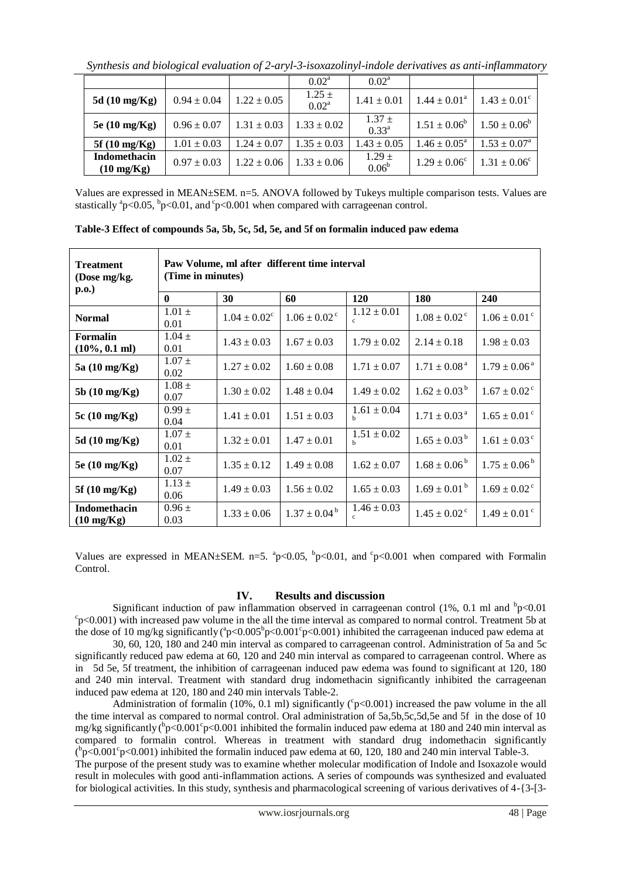*Synthesis and biological evaluation of 2-aryl-3-isoxazolinyl-indole derivatives as anti-inflammatory*

|                                             |                 |                 | $0.02^{\rm a}$               | $0.02^{\rm a}$               |                            |                         |
|---------------------------------------------|-----------------|-----------------|------------------------------|------------------------------|----------------------------|-------------------------|
| 5d (10 mg/Kg)                               | $0.94 \pm 0.04$ | $1.22 \pm 0.05$ | $1.25 \pm$<br>$0.02^{\rm a}$ | $1.41 \pm 0.01$              | $1.44 \pm 0.01^{\text{a}}$ | $1.43 \pm 0.01^{\circ}$ |
| 5e (10 mg/Kg)                               | $0.96 \pm 0.07$ | $1.31 \pm 0.03$ | $1.33 \pm 0.02$              | $1.37 \pm$<br>$0.33^{a}$     | $1.51 \pm 0.06^b$          | $1.50 \pm 0.06^b$       |
| $5f(10 \text{ mg/Kg})$                      | $1.01 \pm 0.03$ | $1.24 \pm 0.07$ | $1.35 \pm 0.03$              | $1.43 \pm 0.05$              | $1.46 \pm 0.05^{\circ}$    | $1.53 \pm 0.07^{\rm a}$ |
| <b>Indomethacin</b><br>$(10 \text{ mg/Kg})$ | $0.97 \pm 0.03$ | $1.22 \pm 0.06$ | $1.33 \pm 0.06$              | $1.29 \pm$<br>$0.06^{\rm b}$ | $1.29 \pm 0.06^{\circ}$    | $1.31 \pm 0.06^{\circ}$ |

Values are expressed in MEAN±SEM. n=5. ANOVA followed by Tukeys multiple comparison tests. Values are stastically  ${}^{a}p<0.05$ ,  ${}^{b}p<0.01$ , and  ${}^{c}p<0.001$  when compared with carrageenan control.

| <b>Treatment</b><br>(Dose mg/kg.<br>$\bf{p.0.}$ | Paw Volume, ml after different time interval<br>(Time in minutes) |                   |                              |                                 |                              |                              |  |  |
|-------------------------------------------------|-------------------------------------------------------------------|-------------------|------------------------------|---------------------------------|------------------------------|------------------------------|--|--|
|                                                 | $\mathbf{0}$                                                      | 30                | 60                           | <b>120</b>                      | 180                          | <b>240</b>                   |  |  |
| <b>Normal</b>                                   | $1.01 \pm$<br>0.01                                                | $1.04 \pm 0.02^c$ | $1.06 \pm 0.02$ <sup>c</sup> | $1.12 \pm 0.01$<br>$\mathbf{c}$ | $1.08 \pm 0.02$ <sup>c</sup> | $1.06 \pm 0.01$ <sup>c</sup> |  |  |
| <b>Formalin</b><br>$(10\%, 0.1 \text{ ml})$     | $1.04 \pm$<br>0.01                                                | $1.43 \pm 0.03$   | $1.67 \pm 0.03$              | $1.79 \pm 0.02$                 | $2.14 \pm 0.18$              | $1.98 \pm 0.03$              |  |  |
| 5a (10 mg/Kg)                                   | $1.07 \pm$<br>0.02                                                | $1.27 \pm 0.02$   | $1.60 \pm 0.08$              | $1.71 \pm 0.07$                 | $1.71 \pm 0.08^{\text{a}}$   | $1.79 \pm 0.06^{\text{ a}}$  |  |  |
| 5b (10 mg/Kg)                                   | $1.08 \pm$<br>0.07                                                | $1.30 \pm 0.02$   | $1.48 \pm 0.04$              | $1.49 \pm 0.02$                 | $1.62 \pm 0.03^{\mathrm{b}}$ | $1.67 \pm 0.02$ <sup>c</sup> |  |  |
| 5c (10 mg/Kg)                                   | $0.99 \pm$<br>0.04                                                | $1.41 \pm 0.01$   | $1.51 \pm 0.03$              | $1.61 \pm 0.04$<br>h            | $1.71 \pm 0.03^{\text{a}}$   | $1.65 \pm 0.01$ <sup>c</sup> |  |  |
| 5d (10 mg/Kg)                                   | $1.07 \pm$<br>0.01                                                | $1.32 \pm 0.01$   | $1.47 \pm 0.01$              | $1.51 \pm 0.02$<br>h            | $1.65 \pm 0.03^{\mathrm{b}}$ | $1.61 \pm 0.03^{\circ}$      |  |  |
| 5e (10 mg/Kg)                                   | $1.02 \pm$<br>0.07                                                | $1.35 \pm 0.12$   | $1.49 \pm 0.08$              | $1.62 \pm 0.07$                 | $1.68 \pm 0.06^{\mathrm{b}}$ | $1.75 \pm 0.06^{\mathrm{b}}$ |  |  |
| 5f (10 mg/Kg)                                   | $1.13 \pm$<br>0.06                                                | $1.49 \pm 0.03$   | $1.56 \pm 0.02$              | $1.65 \pm 0.03$                 | $1.69 \pm 0.01^{\text{ b}}$  | $1.69 \pm 0.02$ <sup>c</sup> |  |  |
| <b>Indomethacin</b><br>$(10 \text{ mg/Kg})$     | $0.96 \pm$<br>0.03                                                | $1.33 \pm 0.06$   | $1.37 \pm 0.04^{\mathrm{b}}$ | $1.46 \pm 0.03$<br>$\mathbf{c}$ | $1.45 \pm 0.02$ <sup>c</sup> | $1.49 \pm 0.01$ <sup>c</sup> |  |  |

**Table-3 Effect of compounds 5a, 5b, 5c, 5d, 5e, and 5f on formalin induced paw edema**

Values are expressed in MEAN $\pm$ SEM. n=5.  $^{a}p<0.05$ ,  $^{b}p<0.01$ , and  $^{c}p<0.001$  when compared with Formalin Control.

# **IV. Results and discussion**

Significant induction of paw inflammation observed in carrageenan control (1%, 0.1 ml and  $\frac{b}{p}$ <0.01  $c<sub>p</sub>$  (0.001) with increased paw volume in the all the time interval as compared to normal control. Treatment 5b at the dose of 10 mg/kg significantly ( $^{a}p<0.005^{b}p<0.001^{c}p<0.001$ ) inhibited the carrageenan induced paw edema at

30, 60, 120, 180 and 240 min interval as compared to carrageenan control. Administration of 5a and 5c significantly reduced paw edema at 60, 120 and 240 min interval as compared to carrageenan control. Where as in 5d 5e, 5f treatment, the inhibition of carrageenan induced paw edema was found to significant at 120, 180 and 240 min interval. Treatment with standard drug indomethacin significantly inhibited the carrageenan induced paw edema at 120, 180 and 240 min intervals Table-2.

Administration of formalin (10%, 0.1 ml) significantly ( $\degree$ p<0.001) increased the paw volume in the all the time interval as compared to normal control. Oral administration of 5a,5b,5c,5d,5e and 5f in the dose of 10 mg/kg significantly ( $p < 0.001^{\circ}p < 0.001$  inhibited the formalin induced paw edema at 180 and 240 min interval as compared to formalin control. Whereas in treatment with standard drug indomethacin significantly  $\binom{b}{P}$ <0.001°p<0.001) inhibited the formalin induced paw edema at 60, 120, 180 and 240 min interval Table-3. The purpose of the present study was to examine whether molecular modification of Indole and Isoxazole would result in molecules with good anti-inflammation actions. A series of compounds was synthesized and evaluated

for biological activities. In this study, synthesis and pharmacological screening of various derivatives of 4-{3-[3-